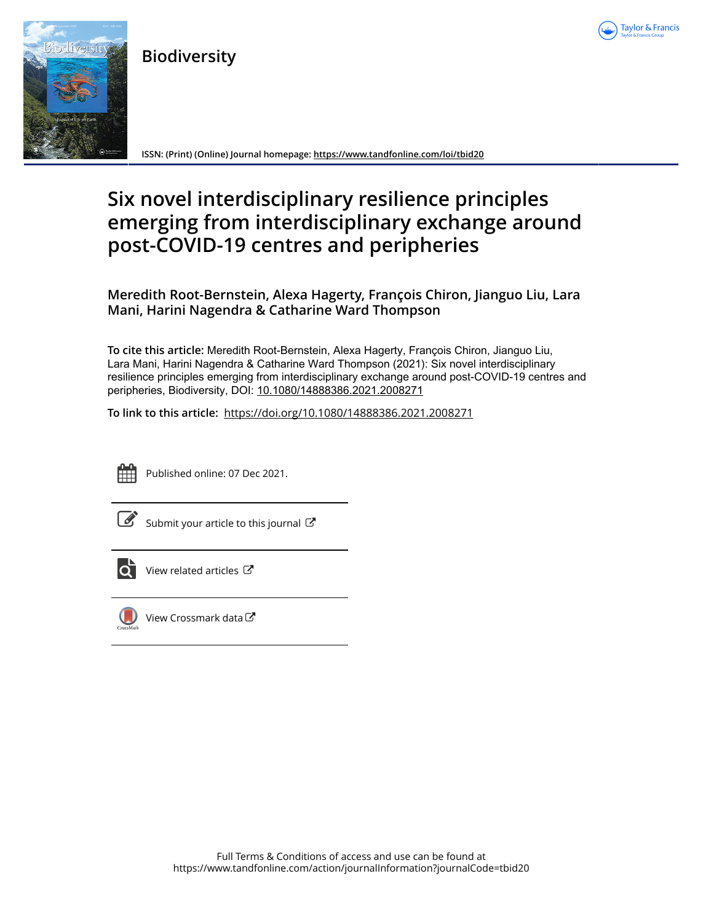

**Biodiversity**



**ISSN: (Print) (Online) Journal homepage:<https://www.tandfonline.com/loi/tbid20>**

# **Six novel interdisciplinary resilience principles emerging from interdisciplinary exchange around post-COVID-19 centres and peripheries**

**Meredith Root-Bernstein, Alexa Hagerty, François Chiron, Jianguo Liu, Lara Mani, Harini Nagendra & Catharine Ward Thompson**

**To cite this article:** Meredith Root-Bernstein, Alexa Hagerty, François Chiron, Jianguo Liu, Lara Mani, Harini Nagendra & Catharine Ward Thompson (2021): Six novel interdisciplinary resilience principles emerging from interdisciplinary exchange around post-COVID-19 centres and peripheries, Biodiversity, DOI: [10.1080/14888386.2021.2008271](https://www.tandfonline.com/action/showCitFormats?doi=10.1080/14888386.2021.2008271)

**To link to this article:** <https://doi.org/10.1080/14888386.2021.2008271>



Published online: 07 Dec 2021.

[Submit your article to this journal](https://www.tandfonline.com/action/authorSubmission?journalCode=tbid20&show=instructions)  $\mathbb{Z}$ 



[View related articles](https://www.tandfonline.com/doi/mlt/10.1080/14888386.2021.2008271) C



[View Crossmark data](http://crossmark.crossref.org/dialog/?doi=10.1080/14888386.2021.2008271&domain=pdf&date_stamp=2021-12-07)<sup>√</sup>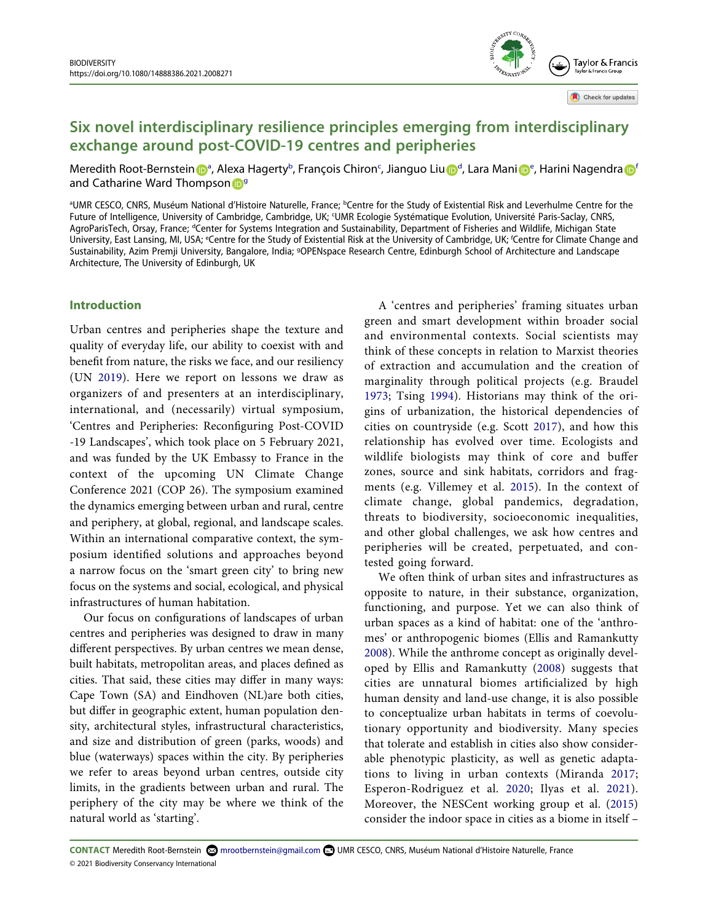**Six novel interdisciplinary resilience principles emerging from interdisciplinary exchange around post-COVID-19 centres and peripheries**

Meredith Root-Bernstein D<sup>[a](http://orcid.org/0000-0002-1585-0724)</s[u](http://orcid.org/0000-0001-6344-0087)p>, Alexa Hagerty<sup>b</sup>, François Chiron<sup>c</sup>, Jianguo Liu D<sup>[d](#page-1-2)</sup>, Lara Man[i](http://orcid.org/0000-0003-2967-7499) D<sup>[e](#page-1-3)</sup>, Harini Nagendra D<sup>[f](#page-1-3)</sup> and Catharine Ward Thompson D<sup>9</sup>

<span id="page-1-4"></span><span id="page-1-3"></span><span id="page-1-2"></span><span id="page-1-1"></span><span id="page-1-0"></span>aUMR CESCO, CNRS, Muséum National d'Histoire Naturelle, France; <sup>b</sup>Centre for the Study of Existential Risk and Leverhulme Centre for the Future of Intelligence, University of Cambridge, Cambridge, UK; <sup>c</sup>UMR Ecologie Systématique Evolution, Université Paris-Saclay, CNRS, AgroParisTech, Orsay, France; <sup>a</sup>Center for Systems Integration and Sustainability, Department of Fisheries and Wildlife, Michigan State University, East Lansing, MI, USA; <sup>e</sup>Centre for the Study of Existential Risk at the University of Cambridge, UK; <sup>f</sup>Centre for Climate Change and Sustainability, Azim Premji University, Bangalore, India; <sup>g</sup>OPENspace Research Centre, Edinburgh School of Architecture and Landscape Architecture, The University of Edinburgh, UK

## **Introduction**

<span id="page-1-12"></span>Urban centres and peripheries shape the texture and quality of everyday life, our ability to coexist with and benefit from nature, the risks we face, and our resiliency (UN [2019](#page-5-0)). Here we report on lessons we draw as organizers of and presenters at an interdisciplinary, international, and (necessarily) virtual symposium, 'Centres and Peripheries: Reconfiguring Post-COVID -19 Landscapes', which took place on 5 February 2021, and was funded by the UK Embassy to France in the context of the upcoming UN Climate Change Conference 2021 (COP 26). The symposium examined the dynamics emerging between urban and rural, centre and periphery, at global, regional, and landscape scales. Within an international comparative context, the symposium identified solutions and approaches beyond a narrow focus on the 'smart green city' to bring new focus on the systems and social, ecological, and physical infrastructures of human habitation.

Our focus on configurations of landscapes of urban centres and peripheries was designed to draw in many different perspectives. By urban centres we mean dense, built habitats, metropolitan areas, and places defined as cities. That said, these cities may differ in many ways: Cape Town (SA) and Eindhoven (NL)are both cities, but differ in geographic extent, human population density, architectural styles, infrastructural characteristics, and size and distribution of green (parks, woods) and blue (waterways) spaces within the city. By peripheries we refer to areas beyond urban centres, outside city limits, in the gradients between urban and rural. The periphery of the city may be where we think of the natural world as 'starting'.

<span id="page-1-11"></span><span id="page-1-10"></span><span id="page-1-5"></span>A 'centres and peripheries' framing situates urban green and smart development within broader social and environmental contexts. Social scientists may think of these concepts in relation to Marxist theories of extraction and accumulation and the creation of marginality through political projects (e.g. Braudel [1973](#page-4-0); Tsing [1994\)](#page-5-1). Historians may think of the origins of urbanization, the historical dependencies of cities on countryside (e.g. Scott [2017\)](#page-5-2), and how this relationship has evolved over time. Ecologists and wildlife biologists may think of core and buffer zones, source and sink habitats, corridors and fragments (e.g. Villemey et al. [2015\)](#page-5-3). In the context of climate change, global pandemics, degradation, threats to biodiversity, socioeconomic inequalities, and other global challenges, we ask how centres and peripheries will be created, perpetuated, and contested going forward.

**GYTY** COA

Tavlor & Francis

Check for updates

<span id="page-1-13"></span><span id="page-1-9"></span><span id="page-1-8"></span><span id="page-1-7"></span><span id="page-1-6"></span>We often think of urban sites and infrastructures as opposite to nature, in their substance, organization, functioning, and purpose. Yet we can also think of urban spaces as a kind of habitat: one of the 'anthromes' or anthropogenic biomes (Ellis and Ramankutty [2008](#page-4-1)). While the anthrome concept as originally developed by Ellis and Ramankutty [\(2008](#page-4-1)) suggests that cities are unnatural biomes artificialized by high human density and land-use change, it is also possible to conceptualize urban habitats in terms of coevolutionary opportunity and biodiversity. Many species that tolerate and establish in cities also show considerable phenotypic plasticity, as well as genetic adaptations to living in urban contexts (Miranda [2017](#page-5-4); Esperon-Rodriguez et al. [2020;](#page-4-2) Ilyas et al. [2021](#page-4-3)). Moreover, the NESCent working group et al. [\(2015\)](#page-4-4) consider the indoor space in cities as a biome in itself –

**CONTACT** Meredith Root-Bernstein mrootbernstein@gmail.com UMR CESCO, CNRS, Muséum National d'Histoire Naturelle, France © 2021 Biodiversity Conservancy International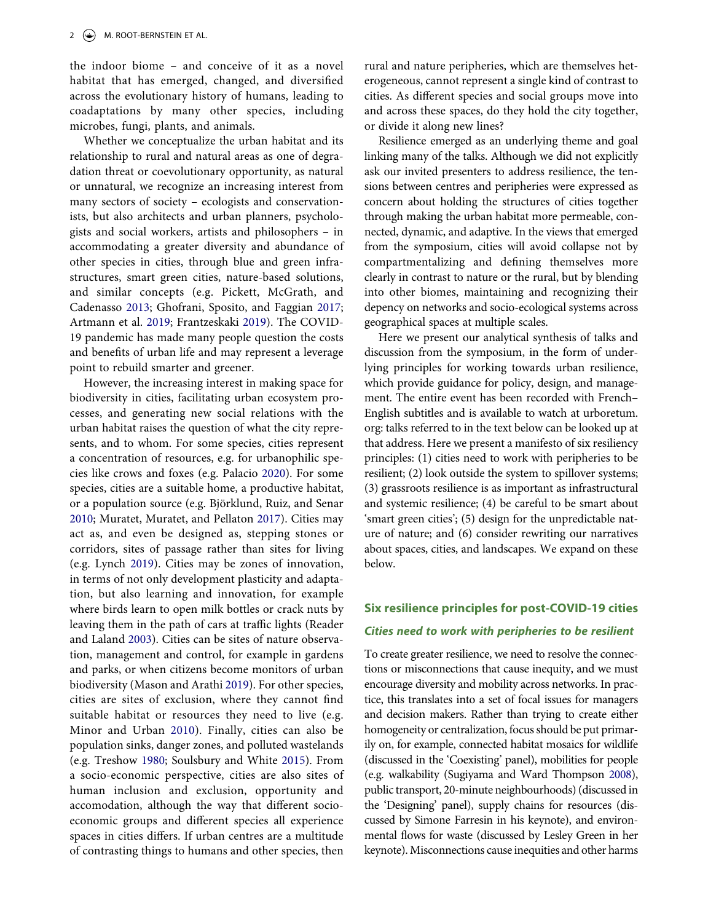the indoor biome – and conceive of it as a novel habitat that has emerged, changed, and diversified across the evolutionary history of humans, leading to coadaptations by many other species, including microbes, fungi, plants, and animals.

Whether we conceptualize the urban habitat and its relationship to rural and natural areas as one of degradation threat or coevolutionary opportunity, as natural or unnatural, we recognize an increasing interest from many sectors of society – ecologists and conservationists, but also architects and urban planners, psychologists and social workers, artists and philosophers – in accommodating a greater diversity and abundance of other species in cities, through blue and green infrastructures, smart green cities, nature-based solutions, and similar concepts (e.g. Pickett, McGrath, and Cadenasso [2013;](#page-5-5) Ghofrani, Sposito, and Faggian [2017](#page-4-5); Artmann et al. [2019](#page-4-6); Frantzeskaki [2019](#page-4-7)). The COVID-19 pandemic has made many people question the costs and benefits of urban life and may represent a leverage point to rebuild smarter and greener.

<span id="page-2-8"></span><span id="page-2-7"></span><span id="page-2-6"></span><span id="page-2-4"></span><span id="page-2-3"></span><span id="page-2-2"></span><span id="page-2-1"></span><span id="page-2-0"></span>However, the increasing interest in making space for biodiversity in cities, facilitating urban ecosystem processes, and generating new social relations with the urban habitat raises the question of what the city represents, and to whom. For some species, cities represent a concentration of resources, e.g. for urbanophilic species like crows and foxes (e.g. Palacio [2020\)](#page-5-6). For some species, cities are a suitable home, a productive habitat, or a population source (e.g. Björklund, Ruiz, and Senar [2010](#page-4-8); Muratet, Muratet, and Pellaton [2017\)](#page-5-7). Cities may act as, and even be designed as, stepping stones or corridors, sites of passage rather than sites for living (e.g. Lynch [2019](#page-5-8)). Cities may be zones of innovation, in terms of not only development plasticity and adaptation, but also learning and innovation, for example where birds learn to open milk bottles or crack nuts by leaving them in the path of cars at traffic lights (Reader and Laland [2003\)](#page-5-9). Cities can be sites of nature observation, management and control, for example in gardens and parks, or when citizens become monitors of urban biodiversity (Mason and Arathi [2019](#page-5-10)). For other species, cities are sites of exclusion, where they cannot find suitable habitat or resources they need to live (e.g. Minor and Urban [2010\)](#page-5-11). Finally, cities can also be population sinks, danger zones, and polluted wastelands (e.g. Treshow [1980;](#page-5-12) Soulsbury and White [2015\)](#page-5-13). From a socio-economic perspective, cities are also sites of human inclusion and exclusion, opportunity and accomodation, although the way that different socioeconomic groups and different species all experience spaces in cities differs. If urban centres are a multitude of contrasting things to humans and other species, then rural and nature peripheries, which are themselves heterogeneous, cannot represent a single kind of contrast to cities. As different species and social groups move into and across these spaces, do they hold the city together, or divide it along new lines?

Resilience emerged as an underlying theme and goal linking many of the talks. Although we did not explicitly ask our invited presenters to address resilience, the tensions between centres and peripheries were expressed as concern about holding the structures of cities together through making the urban habitat more permeable, connected, dynamic, and adaptive. In the views that emerged from the symposium, cities will avoid collapse not by compartmentalizing and defining themselves more clearly in contrast to nature or the rural, but by blending into other biomes, maintaining and recognizing their depency on networks and socio-ecological systems across geographical spaces at multiple scales.

Here we present our analytical synthesis of talks and discussion from the symposium, in the form of underlying principles for working towards urban resilience, which provide guidance for policy, design, and management. The entire event has been recorded with French– English subtitles and is available to watch at urboretum. org: talks referred to in the text below can be looked up at that address. Here we present a manifesto of six resiliency principles: (1) cities need to work with peripheries to be resilient; (2) look outside the system to spillover systems; (3) grassroots resilience is as important as infrastructural and systemic resilience; (4) be careful to be smart about 'smart green cities'; (5) design for the unpredictable nature of nature; and (6) consider rewriting our narratives about spaces, cities, and landscapes. We expand on these below.

# **Six resilience principles for post-COVID-19 cities**

# *Cities need to work with peripheries to be resilient*

<span id="page-2-10"></span><span id="page-2-9"></span><span id="page-2-5"></span>To create greater resilience, we need to resolve the connections or misconnections that cause inequity, and we must encourage diversity and mobility across networks. In practice, this translates into a set of focal issues for managers and decision makers. Rather than trying to create either homogeneity or centralization, focus should be put primarily on, for example, connected habitat mosaics for wildlife (discussed in the 'Coexisting' panel), mobilities for people (e.g. walkability (Sugiyama and Ward Thompson [2008\)](#page-5-14), public transport, 20-minute neighbourhoods) (discussed in the 'Designing' panel), supply chains for resources (discussed by Simone Farresin in his keynote), and environmental flows for waste (discussed by Lesley Green in her keynote). Misconnections cause inequities and other harms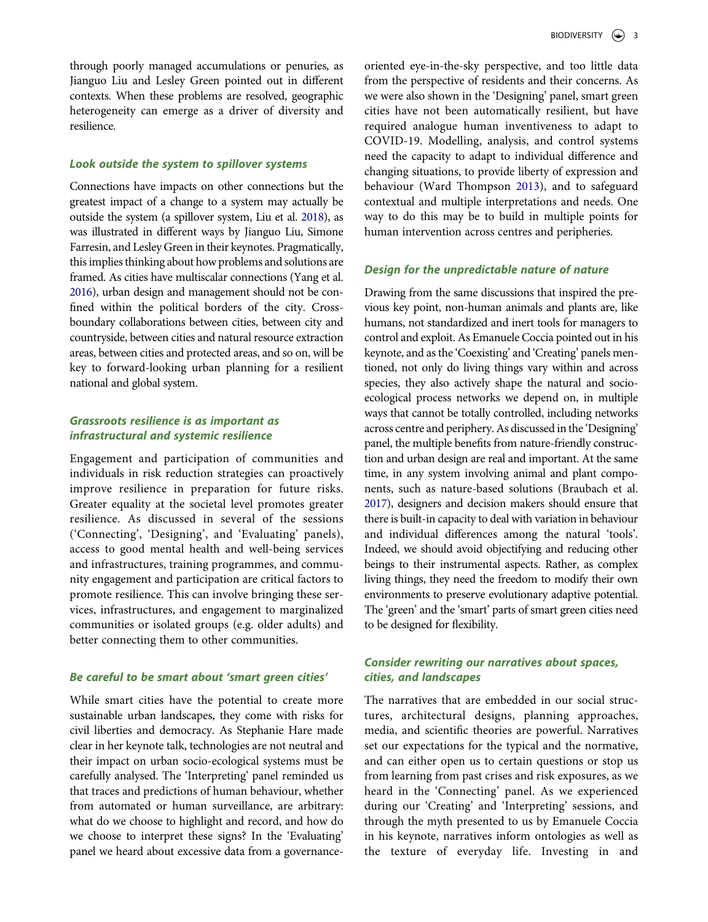through poorly managed accumulations or penuries, as Jianguo Liu and Lesley Green pointed out in different contexts. When these problems are resolved, geographic heterogeneity can emerge as a driver of diversity and resilience.

# *Look outside the system to spillover systems*

<span id="page-3-3"></span><span id="page-3-1"></span>Connections have impacts on other connections but the greatest impact of a change to a system may actually be outside the system (a spillover system, Liu et al. [2018\)](#page-4-9), as was illustrated in different ways by Jianguo Liu, Simone Farresin, and Lesley Green in their keynotes. Pragmatically, this implies thinking about how problems and solutions are framed. As cities have multiscalar connections (Yang et al. [2016](#page-5-15)), urban design and management should not be confined within the political borders of the city. Crossboundary collaborations between cities, between city and countryside, between cities and natural resource extraction areas, between cities and protected areas, and so on, will be key to forward-looking urban planning for a resilient national and global system.

## *Grassroots resilience is as important as infrastructural and systemic resilience*

Engagement and participation of communities and individuals in risk reduction strategies can proactively improve resilience in preparation for future risks. Greater equality at the societal level promotes greater resilience. As discussed in several of the sessions ('Connecting', 'Designing', and 'Evaluating' panels), access to good mental health and well-being services and infrastructures, training programmes, and community engagement and participation are critical factors to promote resilience. This can involve bringing these services, infrastructures, and engagement to marginalized communities or isolated groups (e.g. older adults) and better connecting them to other communities.

## *Be careful to be smart about 'smart green cities'*

While smart cities have the potential to create more sustainable urban landscapes, they come with risks for civil liberties and democracy. As Stephanie Hare made clear in her keynote talk, technologies are not neutral and their impact on urban socio-ecological systems must be carefully analysed. The 'Interpreting' panel reminded us that traces and predictions of human behaviour, whether from automated or human surveillance, are arbitrary: what do we choose to highlight and record, and how do we choose to interpret these signs? In the 'Evaluating' panel we heard about excessive data from a governanceoriented eye-in-the-sky perspective, and too little data from the perspective of residents and their concerns. As we were also shown in the 'Designing' panel, smart green cities have not been automatically resilient, but have required analogue human inventiveness to adapt to COVID-19. Modelling, analysis, and control systems need the capacity to adapt to individual difference and changing situations, to provide liberty of expression and behaviour (Ward Thompson [2013\)](#page-5-16), and to safeguard contextual and multiple interpretations and needs. One way to do this may be to build in multiple points for human intervention across centres and peripheries.

#### <span id="page-3-2"></span>*Design for the unpredictable nature of nature*

Drawing from the same discussions that inspired the previous key point, non-human animals and plants are, like humans, not standardized and inert tools for managers to control and exploit. As Emanuele Coccia pointed out in his keynote, and as the 'Coexisting' and 'Creating' panels mentioned, not only do living things vary within and across species, they also actively shape the natural and socioecological process networks we depend on, in multiple ways that cannot be totally controlled, including networks across centre and periphery. As discussed in the 'Designing' panel, the multiple benefits from nature-friendly construction and urban design are real and important. At the same time, in any system involving animal and plant components, such as nature-based solutions (Braubach et al. [2017](#page-4-10)), designers and decision makers should ensure that there is built-in capacity to deal with variation in behaviour and individual differences among the natural 'tools'. Indeed, we should avoid objectifying and reducing other beings to their instrumental aspects. Rather, as complex living things, they need the freedom to modify their own environments to preserve evolutionary adaptive potential. The 'green' and the 'smart' parts of smart green cities need to be designed for flexibility.

# <span id="page-3-0"></span>*Consider rewriting our narratives about spaces, cities, and landscapes*

The narratives that are embedded in our social structures, architectural designs, planning approaches, media, and scientific theories are powerful. Narratives set our expectations for the typical and the normative, and can either open us to certain questions or stop us from learning from past crises and risk exposures, as we heard in the 'Connecting' panel. As we experienced during our 'Creating' and 'Interpreting' sessions, and through the myth presented to us by Emanuele Coccia in his keynote, narratives inform ontologies as well as the texture of everyday life. Investing in and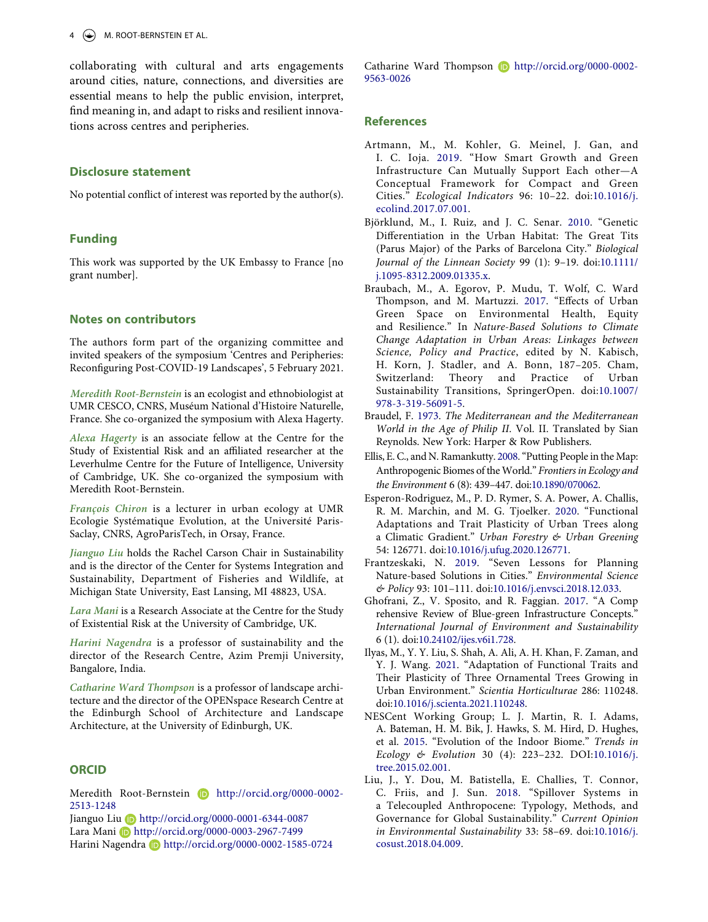collaborating with cultural and arts engagements around cities, nature, connections, and diversities are essential means to help the public envision, interpret, find meaning in, and adapt to risks and resilient innovations across centres and peripheries.

## **Disclosure statement**

No potential conflict of interest was reported by the author(s).

## **Funding**

This work was supported by the UK Embassy to France [no grant number].

## **Notes on contributors**

The authors form part of the organizing committee and invited speakers of the symposium 'Centres and Peripheries: Reconfiguring Post-COVID-19 Landscapes', 5 February 2021.

*Meredith Root-Bernstein* is an ecologist and ethnobiologist at UMR CESCO, CNRS, Muséum National d'Histoire Naturelle, France. She co-organized the symposium with Alexa Hagerty.

*Alexa Hagerty* is an associate fellow at the Centre for the Study of Existential Risk and an affiliated researcher at the Leverhulme Centre for the Future of Intelligence, University of Cambridge, UK. She co-organized the symposium with Meredith Root-Bernstein.

*François Chiron* is a lecturer in urban ecology at UMR Ecologie Systématique Evolution, at the Université Paris-Saclay, CNRS, AgroParisTech, in Orsay, France.

*Jianguo Liu* holds the Rachel Carson Chair in Sustainability and is the director of the Center for Systems Integration and Sustainability, Department of Fisheries and Wildlife, at Michigan State University, East Lansing, MI 48823, USA.

*Lara Mani* is a Research Associate at the Centre for the Study of Existential Risk at the University of Cambridge, UK.

*Harini Nagendra* is a professor of sustainability and the director of the Research Centre, Azim Premji University, Bangalore, India.

*Catharine Ward Thompson* is a professor of landscape architecture and the director of the OPENspace Research Centre at the Edinburgh School of Architecture and Landscape Architecture, at the University of Edinburgh, UK.

## **ORCID**

Meredith Root-Bernstein **http://orcid.org/0000-0002-**2513-1248

Jianguo Liu **b** http://orcid.org/0000-0001-6344-0087 Lara Mani D http://orcid.org/0000-0003-2967-7499 Harini Nagendra D http://orcid.org/0000-0002-1585-0724 Catharine Ward Thompson D http://orcid.org/0000-0002-9563-0026

### **References**

- <span id="page-4-6"></span>Artmann, M., M. Kohler, G. Meinel, J. Gan, and I. C. Ioja. [2019.](#page-2-0) "How Smart Growth and Green Infrastructure Can Mutually Support Each other—A Conceptual Framework for Compact and Green Cities." *Ecological Indicators* 96: 10–22. doi:[10.1016/j.](https://doi.org/10.1016/j.ecolind.2017.07.001)  [ecolind.2017.07.001.](https://doi.org/10.1016/j.ecolind.2017.07.001)
- <span id="page-4-8"></span>Björklund, M., I. Ruiz, and J. C. Senar. [2010.](#page-2-1) "Genetic Differentiation in the Urban Habitat: The Great Tits (Parus Major) of the Parks of Barcelona City." *Biological Journal of the Linnean Society* 99 (1): 9–19. doi:[10.1111/](https://doi.org/10.1111/j.1095-8312.2009.01335.x) [j.1095-8312.2009.01335.x](https://doi.org/10.1111/j.1095-8312.2009.01335.x).
- <span id="page-4-10"></span>Braubach, M., A. Egorov, P. Mudu, T. Wolf, C. Ward Thompson, and M. Martuzzi. [2017](#page-3-0). "Effects of Urban Green Space on Environmental Health, Equity and Resilience." In *Nature-Based Solutions to Climate Change Adaptation in Urban Areas: Linkages between Science, Policy and Practice*, edited by N. Kabisch, H. Korn, J. Stadler, and A. Bonn, 187–205. Cham, Switzerland: Theory and Practice of Urban Sustainability Transitions, SpringerOpen. doi:[10.1007/](https://doi.org/10.1007/978-3-319-56091-5)  [978-3-319-56091-5](https://doi.org/10.1007/978-3-319-56091-5).
- <span id="page-4-0"></span>Braudel, F. [1973.](#page-1-5) *The Mediterranean and the Mediterranean World in the Age of Philip II*. Vol. II. Translated by Sian Reynolds. New York: Harper & Row Publishers.
- <span id="page-4-1"></span>Ellis, E. C., and N. Ramankutty. [2008.](#page-1-6) "Putting People in the Map: Anthropogenic Biomes of the World." *Frontiers in Ecology and the Environment* 6 (8): 439–447. doi:[10.1890/070062.](https://doi.org/10.1890/070062)
- <span id="page-4-2"></span>Esperon-Rodriguez, M., P. D. Rymer, S. A. Power, A. Challis, R. M. Marchin, and M. G. Tjoelker. [2020.](#page-1-7) "Functional Adaptations and Trait Plasticity of Urban Trees along a Climatic Gradient." *Urban Forestry & Urban Greening*  54: 126771. doi:[10.1016/j.ufug.2020.126771.](https://doi.org/10.1016/j.ufug.2020.126771)
- <span id="page-4-7"></span>Frantzeskaki, N. [2019.](#page-2-0) "Seven Lessons for Planning Nature-based Solutions in Cities." *Environmental Science & Policy* 93: 101–111. doi:[10.1016/j.envsci.2018.12.033.](https://doi.org/10.1016/j.envsci.2018.12.033)
- <span id="page-4-5"></span>Ghofrani, Z., V. Sposito, and R. Faggian. [2017](#page-2-2). "A Comp rehensive Review of Blue-green Infrastructure Concepts." *International Journal of Environment and Sustainability*  6 (1). doi:[10.24102/ijes.v6i1.728](https://doi.org/10.24102/ijes.v6i1.728).
- <span id="page-4-3"></span>Ilyas, M., Y. Y. Liu, S. Shah, A. Ali, A. H. Khan, F. Zaman, and Y. J. Wang. [2021](#page-1-7). "Adaptation of Functional Traits and Their Plasticity of Three Ornamental Trees Growing in Urban Environment." *Scientia Horticulturae* 286: 110248. doi:[10.1016/j.scienta.2021.110248.](https://doi.org/10.1016/j.scienta.2021.110248)
- <span id="page-4-4"></span>NESCent Working Group; L. J. Martin, R. I. Adams, A. Bateman, H. M. Bik, J. Hawks, S. M. Hird, D. Hughes, et al. [2015.](#page-1-8) "Evolution of the Indoor Biome." *Trends in Ecology & Evolution* 30 (4): 223–232. DOI:[10.1016/j.](https://doi.org/10.1016/j.tree.2015.02.001)  [tree.2015.02.001.](https://doi.org/10.1016/j.tree.2015.02.001)
- <span id="page-4-9"></span>Liu, J., Y. Dou, M. Batistella, E. Challies, T. Connor, C. Friis, and J. Sun. [2018](#page-3-1). "Spillover Systems in a Telecoupled Anthropocene: Typology, Methods, and Governance for Global Sustainability." *Current Opinion in Environmental Sustainability* 33: 58–69. doi:[10.1016/j.](https://doi.org/10.1016/j.cosust.2018.04.009)  [cosust.2018.04.009.](https://doi.org/10.1016/j.cosust.2018.04.009)